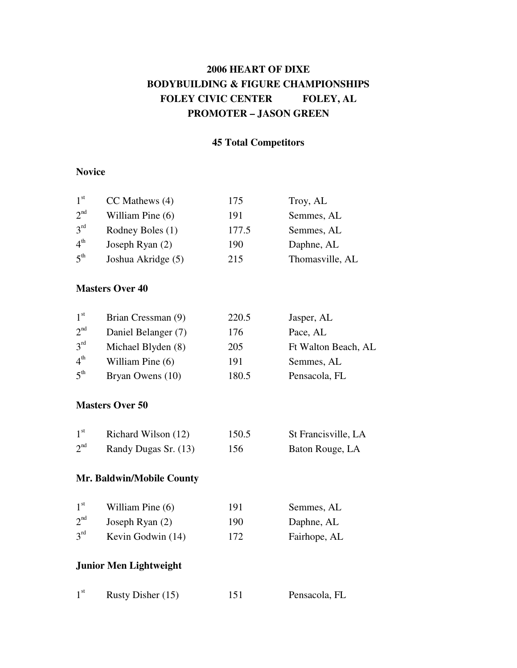# **2006 HEART OF DIXE BODYBUILDING & FIGURE CHAMPIONSHIPS FOLEY CIVIC CENTER FOLEY, AL PROMOTER – JASON GREEN**

### **45 Total Competitors**

### **Novice**

| 1 <sup>st</sup> | $CC$ Mathews $(4)$ | 175   | Troy, AL        |
|-----------------|--------------------|-------|-----------------|
| 2 <sup>nd</sup> | William Pine $(6)$ | 191   | Semmes, AL      |
| 3 <sup>rd</sup> | Rodney Boles (1)   | 177.5 | Semmes, AL      |
| 4 <sup>th</sup> | Joseph Ryan (2)    | 190   | Daphne, AL      |
| 5 <sup>th</sup> | Joshua Akridge (5) | 215   | Thomasville, AL |

#### **Masters Over 40**

| 1 <sup>st</sup> | Brian Cressman (9)  | 220.5 | Jasper, AL          |
|-----------------|---------------------|-------|---------------------|
| $2^{nd}$        | Daniel Belanger (7) | 176   | Pace, AL            |
| $3^{rd}$        | Michael Blyden (8)  | 205   | Ft Walton Beach, AL |
| $4^{\text{th}}$ | William Pine $(6)$  | 191   | Semmes, AL          |
| $5^{\text{th}}$ | Bryan Owens (10)    | 180.5 | Pensacola, FL       |

#### **Masters Over 50**

| 1 <sup>st</sup> | Richard Wilson (12)  | 150.5 | St Francisville, LA |
|-----------------|----------------------|-------|---------------------|
| 2 <sup>nd</sup> | Randy Dugas Sr. (13) | 156   | Baton Rouge, LA     |

### **Mr. Baldwin/Mobile County**

| 1 <sup>st</sup> | William Pine (6)  | 191 | Semmes, AL   |
|-----------------|-------------------|-----|--------------|
| 2 <sup>nd</sup> | Joseph Ryan $(2)$ | 190 | Daphne, AL   |
| 3 <sup>rd</sup> | Kevin Godwin (14) | 172 | Fairhope, AL |

Pensacola, FL

### **Junior Men Lightweight**

| 1 <sup>st</sup> | Rusty Disher (15) | 151 |
|-----------------|-------------------|-----|
|-----------------|-------------------|-----|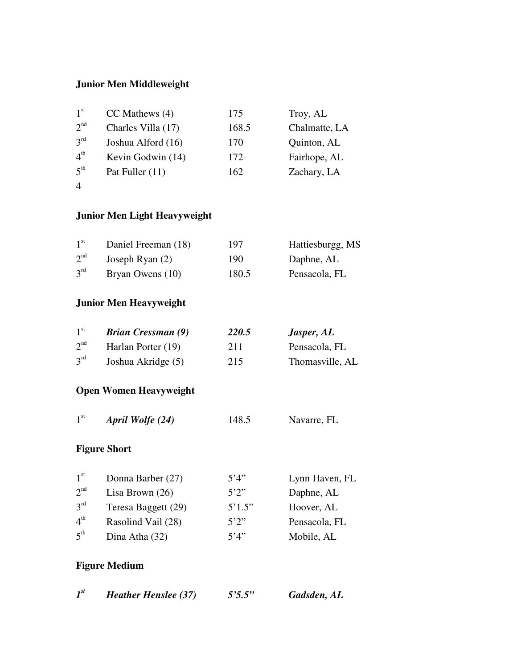### **Junior Men Middleweight**

| 1 <sup>st</sup>                    | $CC$ Mathews $(4)$ | 175   | Troy, AL      |
|------------------------------------|--------------------|-------|---------------|
| 2 <sup>nd</sup>                    | Charles Villa (17) | 168.5 | Chalmatte, LA |
| $2^{\text{rd}}$                    | Joshua Alford (16) | 170   | Quinton, AL   |
| $\boldsymbol{\Lambda}^{\text{th}}$ | Kevin Godwin (14)  | 172   | Fairhope, AL  |
| $5^{\text{th}}$                    | Pat Fuller (11)    | 162   | Zachary, LA   |

4

# **Junior Men Light Heavyweight**

| 1 <sup>st</sup> | Daniel Freeman (18) | 197   | Hattiesburgg, MS |
|-----------------|---------------------|-------|------------------|
| 2 <sup>nd</sup> | Joseph Ryan $(2)$   | 190   | Daphne, AL       |
| $3^{\rm rd}$    | Bryan Owens (10)    | 180.5 | Pensacola, FL    |

## **Junior Men Heavyweight**

| 1 <sup>st</sup> | <b>Brian Cressman (9)</b> | <b>220.5</b> | Jasper, AL      |
|-----------------|---------------------------|--------------|-----------------|
| 2 <sup>nd</sup> | Harlan Porter (19)        | 211          | Pensacola, FL   |
| $3^{rd}$        | Joshua Akridge (5)        | 215          | Thomasville, AL |

## **Open Women Heavyweight**

 $1^{\rm st}$ st *April Wolfe (24)* 148.5 Navarre, FL

### **Figure Short**

| 1 <sup>st</sup> | Donna Barber (27)   | 5'4''  | Lynn Haven, FL |
|-----------------|---------------------|--------|----------------|
| 2 <sup>nd</sup> | Lisa Brown $(26)$   | 5'2''  | Daphne, AL     |
| 3 <sup>rd</sup> | Teresa Baggett (29) | 5'1.5" | Hoover, AL     |
| 4 <sup>th</sup> | Rasolind Vail (28)  | 5'2''  | Pensacola, FL  |
| 5 <sup>th</sup> | Dina Atha (32)      | 5'4"   | Mobile, AL     |

### **Figure Medium**

| $I^{st}$ | <b>Heather Henslee (37)</b> |  |  | 5'5.5'' | Gadsden, AL |
|----------|-----------------------------|--|--|---------|-------------|
|----------|-----------------------------|--|--|---------|-------------|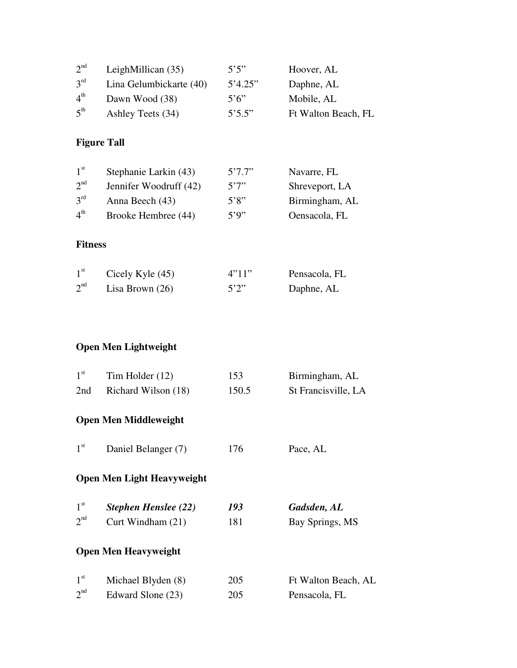| 2 <sup>nd</sup>    | LeighMillican (35)                | 5'5''                | Hoover, AL          |  |
|--------------------|-----------------------------------|----------------------|---------------------|--|
| $3^{rd}$           | Lina Gelumbickarte (40)           | 5'4.25"              | Daphne, AL          |  |
| 4 <sup>th</sup>    | Dawn Wood (38)                    | $5^{\circ}6^{\circ}$ | Mobile, AL          |  |
| $5^{\text{th}}$    | Ashley Teets (34)                 | 5'5.5"               | Ft Walton Beach, FL |  |
| <b>Figure Tall</b> |                                   |                      |                     |  |
| 1 <sup>st</sup>    | Stephanie Larkin (43)             | 5'7.7''              | Navarre, FL         |  |
| $2^{nd}$           | Jennifer Woodruff (42)            | 5'7'                 | Shreveport, LA      |  |
| 3 <sup>rd</sup>    | Anna Beech (43)                   | 5'8''                | Birmingham, AL      |  |
| $4^{\text{th}}$    | Brooke Hembree (44)               | 5'9''                | Oensacola, FL       |  |
| <b>Fitness</b>     |                                   |                      |                     |  |
| 1 <sup>st</sup>    | Cicely Kyle (45)                  | 4"11"                | Pensacola, FL       |  |
| 2 <sup>nd</sup>    | Lisa Brown $(26)$                 | 5'2''                | Daphne, AL          |  |
|                    |                                   |                      |                     |  |
|                    | <b>Open Men Lightweight</b>       |                      |                     |  |
| $1^{\rm st}$       | Tim Holder (12)                   | 153                  | Birmingham, AL      |  |
|                    |                                   | 150.5                | St Francisville, LA |  |
| 2nd                | Richard Wilson (18)               |                      |                     |  |
|                    | <b>Open Men Middleweight</b>      |                      |                     |  |
| $1^{\rm st}$       | Daniel Belanger (7)               | 176                  | Pace, AL            |  |
|                    | <b>Open Men Light Heavyweight</b> |                      |                     |  |
| 1 <sup>st</sup>    | <b>Stephen Henslee (22)</b>       | 193                  | Gadsden, AL         |  |
| $2^{nd}$           | Curt Windham (21)                 | 181                  | Bay Springs, MS     |  |
|                    | <b>Open Men Heavyweight</b>       |                      |                     |  |
| 1 <sup>st</sup>    | Michael Blyden (8)                | 205                  | Ft Walton Beach, AL |  |